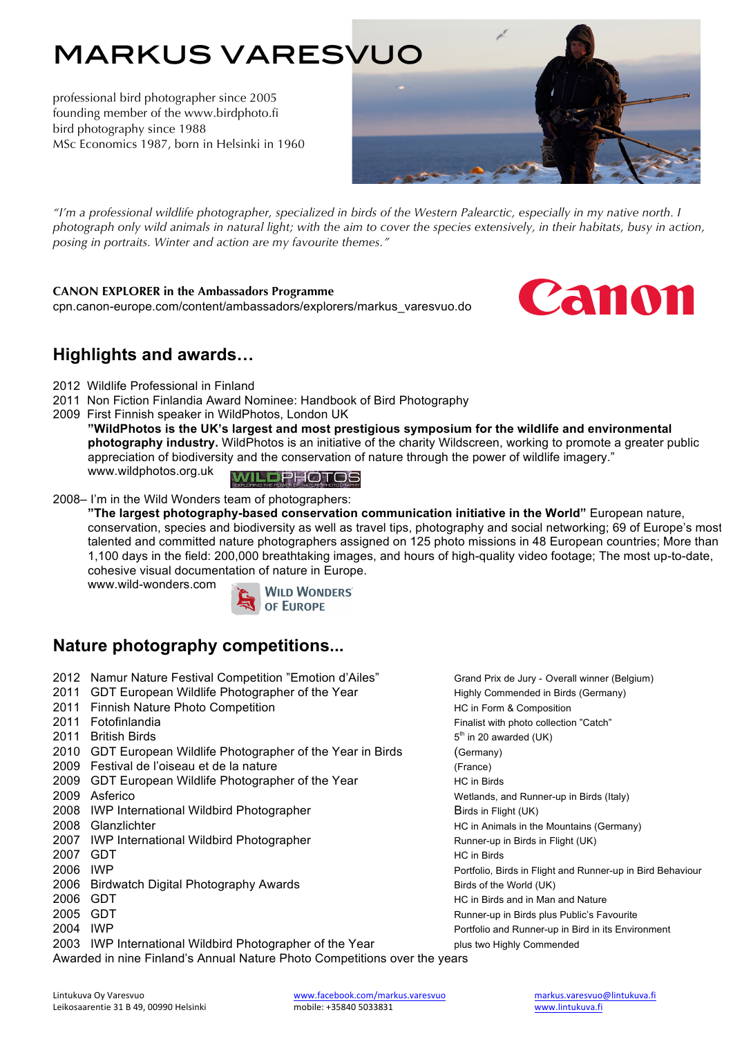# markus varesvuo

professional bird photographer since 2005 founding member of the www.birdphoto.fi bird photography since 1988 MSc Economics 1987, born in Helsinki in 1960



*"I'm a professional wildlife photographer, specialized in birds of the Western Palearctic, especially in my native north. I photograph only wild animals in natural light; with the aim to cover the species extensively, in their habitats, busy in action, posing in portraits. Winter and action are my favourite themes."*

#### **CANON EXPLORER in the Ambassadors Programme**

cpn.canon-europe.com/content/ambassadors/explorers/markus\_varesvuo.do



## **Highlights and awards…**

- 2012 Wildlife Professional in Finland
- 2011 Non Fiction Finlandia Award Nominee: Handbook of Bird Photography
- 2009 First Finnish speaker in WildPhotos, London UK

**"WildPhotos is the UK's largest and most prestigious symposium for the wildlife and environmental photography industry.** WildPhotos is an initiative of the charity Wildscreen, working to promote a greater public appreciation of biodiversity and the conservation of nature through the power of wildlife imagery." www.wildphotos.org.uk

**PHOTOS** 

2008– I'm in the Wild Wonders team of photographers:

**"The largest photography-based conservation communication initiative in the World"** European nature, conservation, species and biodiversity as well as travel tips, photography and social networking; 69 of Europe's most talented and committed nature photographers assigned on 125 photo missions in 48 European countries; More than 1,100 days in the field: 200,000 breathtaking images, and hours of high-quality video footage; The most up-to-date, cohesive visual documentation of nature in Europe.

www.wild-wonders.com



## **Nature photography competitions...**

- 2012 Namur Nature Festival Competition "Emotion d'Ailes" Grand Prix de Jury Overall winner (Belgium)
- 2011 GDT European Wildlife Photographer of the Year Highly Commended in Birds (Germany)
- 2011 Finnish Nature Photo Competition **Financial Composition** HC in Form & Composition
- 
- 2011 British Birds  $5<sup>th</sup>$  in 20 awarded (UK)
- 2010 GDT European Wildlife Photographer of the Year in Birds (Germany)
- 2009 Festival de l'oiseau et de la nature (France)
- 2009 GDT European Wildlife Photographer of the Year Figure HC in Birds
- 
- 2008 IWP International Wildbird Photographer Birds in Flight (UK)
- 
- 2007 IWP International Wildbird Photographer Runner-up in Birds in Flight (UK)
- 
- 
- 2006 Birdwatch Digital Photography Awards Birds of the World (UK)
- 
- 
- 

2003 IWP International Wildbird Photographer of the Year plus two Highly Commended

Awarded in nine Finland's Annual Nature Photo Competitions over the years

2011 Fotofinlandia Finalist with photo collection "Catch" 2009 Asferico Wetlands, and Runner-up in Birds (Italy) 2008 Glanzlichter **Exercise State Control of the Mountains (Germany)** HC in Animals in the Mountains (Germany) 2007 GDT NO. 2007 HC in Birds<br>2006 IWP Portfolio, Birds in Flight and Runner-up in Bird Behaviour 2006 GDT 2006 GDT 2005 GDT Runner-up in Birds plus Public's Favourite 2004 IWP 2004 2004 2004 Portfolio and Runner-up in Bird in its Environment

Lintukuva Oy Varesvuo<br>Leikosaarentie 31 B 49. 00990 Helsinki variassa muotile: +35840 5033831 varesvuo markus.varesvuo@lintukuva.fi Leikosaarentie 31 B 49, 00990 Helsinki mobile: +35840 5033831 www.lintukuva.fi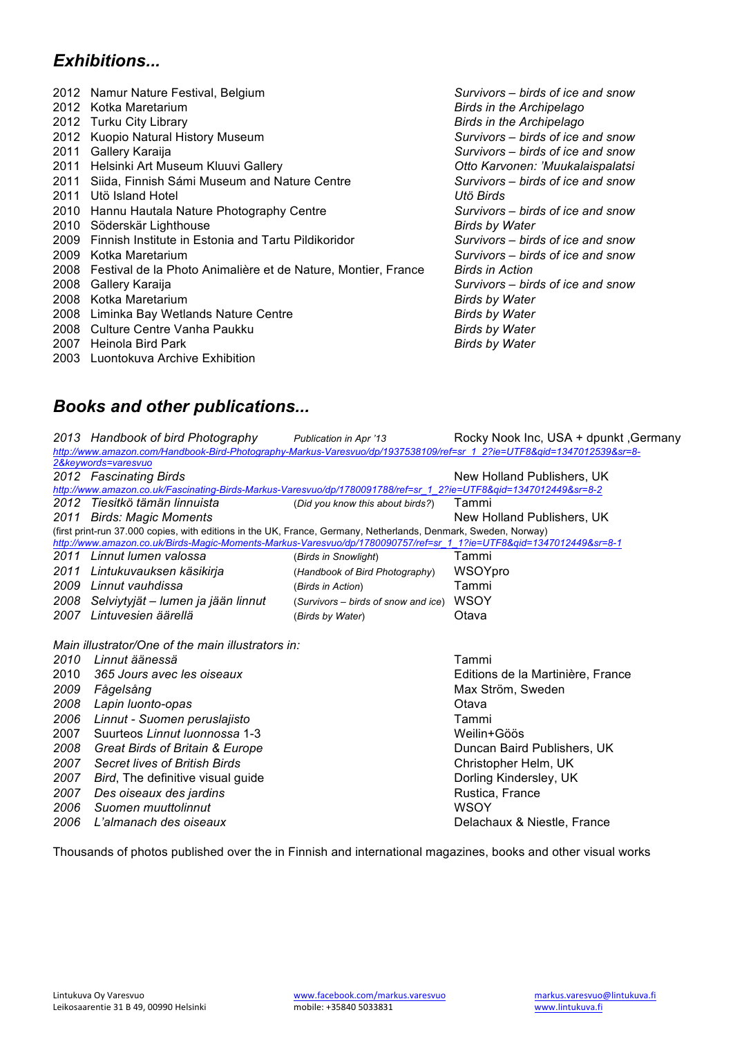## *Exhibitions...*

|      | 2012 Namur Nature Festival, Belgium                           | Survivors – birds of ice and snow |
|------|---------------------------------------------------------------|-----------------------------------|
|      | 2012 Kotka Maretarium                                         | <b>Birds in the Archipelago</b>   |
|      | 2012 Turku City Library                                       | <b>Birds in the Archipelago</b>   |
| 2012 | Kuopio Natural History Museum                                 | Survivors – birds of ice and snow |
| 2011 | Gallery Karaija                                               | Survivors – birds of ice and snow |
| 2011 | Helsinki Art Museum Kluuvi Gallery                            | Otto Karvonen: 'Muukalaispalatsi  |
| 2011 | Siida, Finnish Sámi Museum and Nature Centre                  | Survivors – birds of ice and snow |
| 2011 | Utö Island Hotel                                              | Utö Birds                         |
| 2010 | Hannu Hautala Nature Photography Centre                       | Survivors – birds of ice and snow |
| 2010 | Söderskär Lighthouse                                          | <b>Birds by Water</b>             |
| 2009 | Finnish Institute in Estonia and Tartu Pildikoridor           | Survivors – birds of ice and snow |
| 2009 | Kotka Maretarium                                              | Survivors – birds of ice and snow |
| 2008 | Festival de la Photo Animalière et de Nature, Montier, France | <b>Birds in Action</b>            |
| 2008 | Gallery Karaija                                               | Survivors – birds of ice and snow |
| 2008 | Kotka Maretarium                                              | <b>Birds by Water</b>             |
| 2008 | Liminka Bay Wetlands Nature Centre                            | <b>Birds by Water</b>             |
| 2008 | Culture Centre Vanha Paukku                                   | <b>Birds by Water</b>             |
| 2007 | Heinola Bird Park                                             | <b>Birds by Water</b>             |
|      | 2003 Luontokuva Archive Exhibition                            |                                   |

## *Books and other publications...*

|                                                                                                                                                                                                                                       | 2013 Handbook of bird Photography                                                                                     | Publication in Apr '13              | Rocky Nook Inc, USA + dpunkt, Germany |  |  |  |  |
|---------------------------------------------------------------------------------------------------------------------------------------------------------------------------------------------------------------------------------------|-----------------------------------------------------------------------------------------------------------------------|-------------------------------------|---------------------------------------|--|--|--|--|
|                                                                                                                                                                                                                                       | http://www.amazon.com/Handbook-Bird-Photography-Markus-Varesvuo/dp/1937538109/ref=sr 1 2?ie=UTF8&gid=1347012539&sr=8- |                                     |                                       |  |  |  |  |
|                                                                                                                                                                                                                                       | 2&keywords=varesvuo                                                                                                   |                                     |                                       |  |  |  |  |
|                                                                                                                                                                                                                                       | 2012 Fascinating Birds                                                                                                |                                     | New Holland Publishers, UK            |  |  |  |  |
|                                                                                                                                                                                                                                       | http://www.amazon.co.uk/Fascinating-Birds-Markus-Varesvuo/dp/1780091788/ref=sr 1 2?ie=UTF8&gid=1347012449&sr=8-2      |                                     |                                       |  |  |  |  |
|                                                                                                                                                                                                                                       | 2012 Tiesitkö tämän linnuista                                                                                         | (Did you know this about birds?)    | Tammi                                 |  |  |  |  |
| 2011                                                                                                                                                                                                                                  | <b>Birds: Magic Moments</b>                                                                                           |                                     | New Holland Publishers, UK            |  |  |  |  |
| (first print-run 37.000 copies, with editions in the UK, France, Germany, Netherlands, Denmark, Sweden, Norway)<br>http://www.amazon.co.uk/Birds-Magic-Moments-Markus-Varesvuo/dp/1780090757/ref=sr 1 1?ie=UTF8&gid=1347012449&sr=8-1 |                                                                                                                       |                                     |                                       |  |  |  |  |
|                                                                                                                                                                                                                                       | 2011 Linnut lumen valossa                                                                                             | (Birds in Snowlight)                | Tammi                                 |  |  |  |  |
| 2011                                                                                                                                                                                                                                  | Lintukuvauksen käsikirja                                                                                              | (Handbook of Bird Photography)      | WSOYpro                               |  |  |  |  |
| 2009                                                                                                                                                                                                                                  | Linnut vauhdissa                                                                                                      | (Birds in Action)                   | Tammi                                 |  |  |  |  |
| 2008                                                                                                                                                                                                                                  | Selviytyjät – lumen ja jään linnut                                                                                    | (Survivors – birds of snow and ice) | <b>WSOY</b>                           |  |  |  |  |
| 2007                                                                                                                                                                                                                                  | Lintuvesien äärellä                                                                                                   | (Birds by Water)                    | Otava                                 |  |  |  |  |
|                                                                                                                                                                                                                                       | Main illustrator/One of the main illustrators in:                                                                     |                                     |                                       |  |  |  |  |
| 2010                                                                                                                                                                                                                                  | Linnut äänessä                                                                                                        |                                     | Tammi                                 |  |  |  |  |
| 2010                                                                                                                                                                                                                                  | 365 Jours avec les oiseaux                                                                                            |                                     | Editions de la Martinière, France     |  |  |  |  |
| 2009                                                                                                                                                                                                                                  | Fågelsång                                                                                                             |                                     | Max Ström, Sweden                     |  |  |  |  |
| 2008                                                                                                                                                                                                                                  | Lapin luonto-opas                                                                                                     |                                     | Otava                                 |  |  |  |  |
| 2006                                                                                                                                                                                                                                  | Linnut - Suomen peruslajisto                                                                                          |                                     | Tammi                                 |  |  |  |  |
| 2007                                                                                                                                                                                                                                  | Suurteos Linnut Iuonnossa 1-3                                                                                         |                                     | Weilin+Göös                           |  |  |  |  |
| 2008                                                                                                                                                                                                                                  | Great Birds of Britain & Europe                                                                                       |                                     | Duncan Baird Publishers, UK           |  |  |  |  |
| 2007                                                                                                                                                                                                                                  | Secret lives of British Birds                                                                                         |                                     | Christopher Helm, UK                  |  |  |  |  |
| 2007                                                                                                                                                                                                                                  | Bird, The definitive visual guide                                                                                     |                                     | Dorling Kindersley, UK                |  |  |  |  |
| 2007                                                                                                                                                                                                                                  | Des oiseaux des jardins                                                                                               |                                     | Rustica, France                       |  |  |  |  |
| 2006                                                                                                                                                                                                                                  | Suomen muuttolinnut                                                                                                   |                                     | <b>WSOY</b>                           |  |  |  |  |
| 2006                                                                                                                                                                                                                                  | L'almanach des oiseaux                                                                                                |                                     | Delachaux & Niestle, France           |  |  |  |  |

Thousands of photos published over the in Finnish and international magazines, books and other visual works